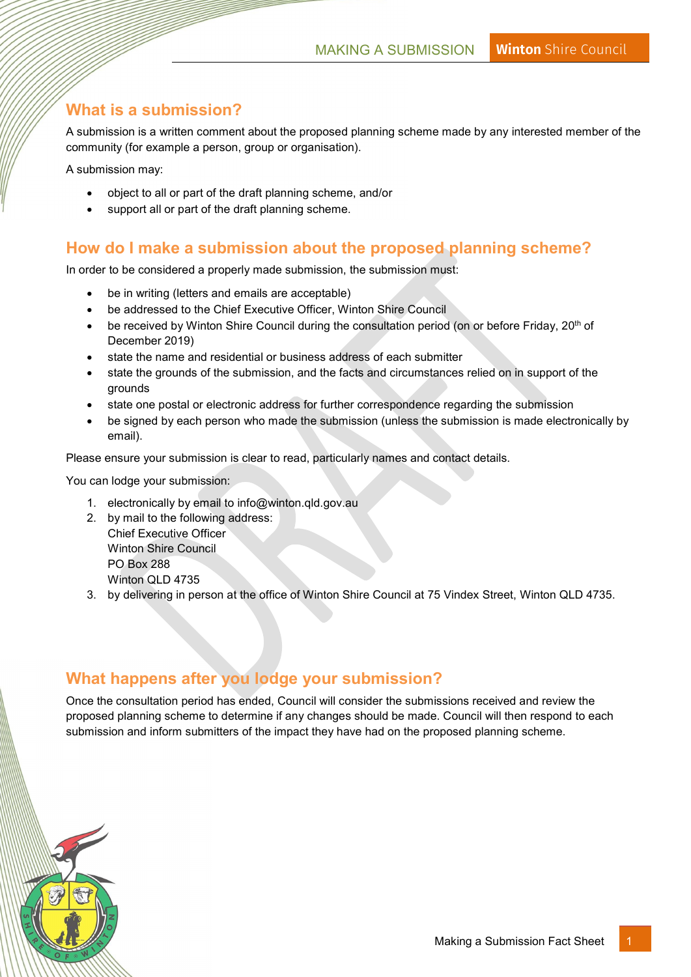### What is a submission?

A submission is a written comment about the proposed planning scheme made by any interested member of the community (for example a person, group or organisation).

A submission may:

- object to all or part of the draft planning scheme, and/or
- support all or part of the draft planning scheme.

#### How do I make a submission about the proposed planning scheme?

In order to be considered a properly made submission, the submission must:

- be in writing (letters and emails are acceptable)
- be addressed to the Chief Executive Officer, Winton Shire Council
- $\bullet$  be received by Winton Shire Council during the consultation period (on or before Friday, 20<sup>th</sup> of December 2019)
- state the name and residential or business address of each submitter
- state the grounds of the submission, and the facts and circumstances relied on in support of the grounds
- state one postal or electronic address for further correspondence regarding the submission
- be signed by each person who made the submission (unless the submission is made electronically by email).

Please ensure your submission is clear to read, particularly names and contact details.

You can lodge your submission:

- 1. electronically by email to info@winton.qld.gov.au
- 2. by mail to the following address: Chief Executive Officer Winton Shire Council PO Box 288 Winton QLD 4735
- 3. by delivering in person at the office of Winton Shire Council at 75 Vindex Street, Winton QLD 4735.

### What happens after you lodge your submission?

Once the consultation period has ended, Council will consider the submissions received and review the proposed planning scheme to determine if any changes should be made. Council will then respond to each submission and inform submitters of the impact they have had on the proposed planning scheme.